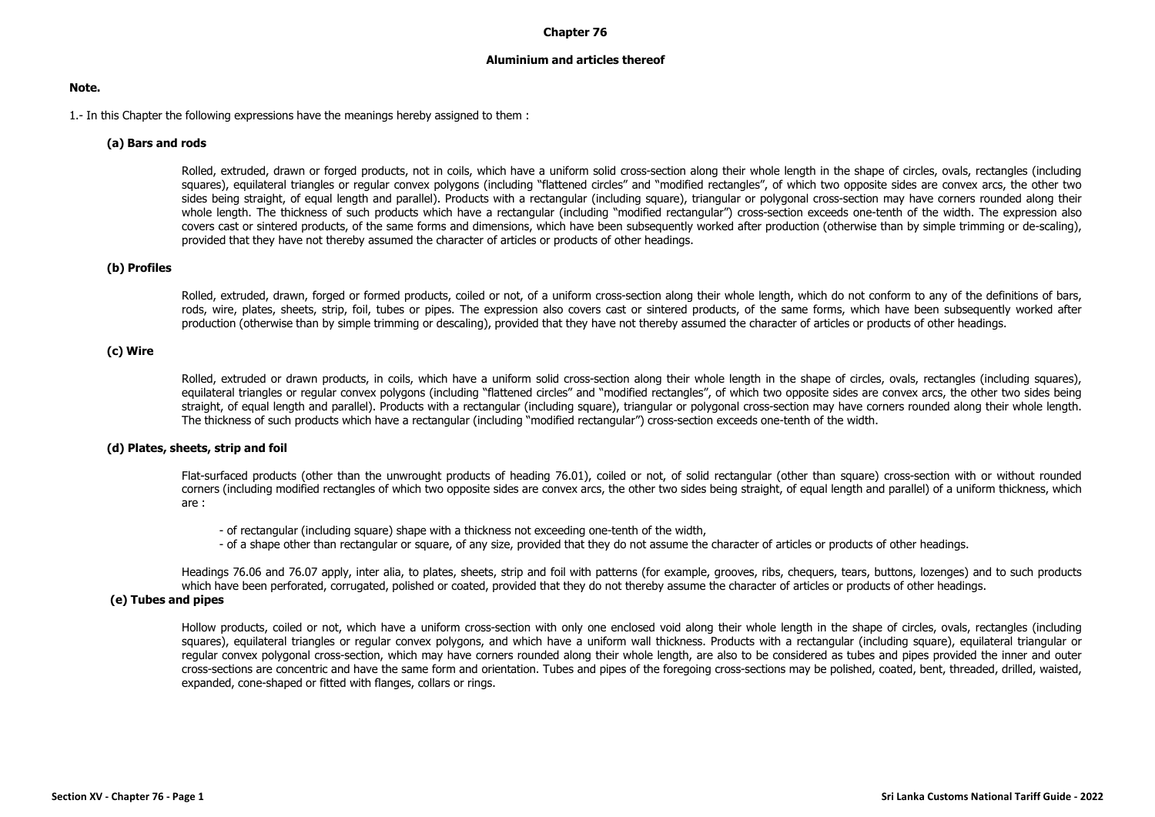### **Chapter 76**

### **Aluminium and articles thereof**

### **Note.**

1.- In this Chapter the following expressions have the meanings hereby assigned to them :

# **(a) Bars and rods**

Rolled, extruded, drawn or forged products, not in coils, which have a uniform solid cross-section along their whole length in the shape of circles, ovals, rectangles (including squares), equilateral triangles or regular convex polygons (including "flattened circles" and "modified rectangles", of which two opposite sides are convex arcs, the other two sides being straight, of equal length and parallel). Products with a rectangular (including square), triangular or polygonal cross-section may have corners rounded along their whole length. The thickness of such products which have a rectangular (including "modified rectangular") cross-section exceeds one-tenth of the width. The expression also covers cast or sintered products, of the same forms and dimensions, which have been subsequently worked after production (otherwise than by simple trimming or de-scaling), provided that they have not thereby assumed the character of articles or products of other headings.

### **(b) Profiles**

Rolled, extruded, drawn, forged or formed products, coiled or not, of a uniform cross-section along their whole length, which do not conform to any of the definitions of bars, rods, wire, plates, sheets, strip, foil, tubes or pipes. The expression also covers cast or sintered products, of the same forms, which have been subsequently worked after production (otherwise than by simple trimming or descaling), provided that they have not thereby assumed the character of articles or products of other headings.

# **(c) Wire**

Rolled, extruded or drawn products, in coils, which have a uniform solid cross-section along their whole length in the shape of circles, ovals, rectangles (including squares), equilateral triangles or regular convex polygons (including "flattened circles" and "modified rectangles", of which two opposite sides are convex arcs, the other two sides being straight, of equal length and parallel). Products with a rectangular (including square), triangular or polygonal cross-section may have corners rounded along their whole length. The thickness of such products which have a rectangular (including "modified rectangular") cross-section exceeds one-tenth of the width.

### **(d) Plates, sheets, strip and foil**

Flat-surfaced products (other than the unwrought products of heading 76.01), coiled or not, of solid rectangular (other than square) cross-section with or without rounded corners (including modified rectangles of which two opposite sides are convex arcs, the other two sides being straight, of equal length and parallel) of a uniform thickness, which are :

- of rectangular (including square) shape with a thickness not exceeding one-tenth of the width,
- of a shape other than rectangular or square, of any size, provided that they do not assume the character of articles or products of other headings.

Headings 76.06 and 76.07 apply, inter alia, to plates, sheets, strip and foil with patterns (for example, grooves, ribs, chequers, tears, buttons, lozenges) and to such products which have been perforated, corrugated, polished or coated, provided that they do not thereby assume the character of articles or products of other headings.

### **(e) Tubes and pipes**

Hollow products, coiled or not, which have a uniform cross-section with only one enclosed void along their whole length in the shape of circles, ovals, rectangles (including squares), equilateral triangles or regular convex polygons, and which have a uniform wall thickness. Products with a rectangular (including square), equilateral triangular or regular convex polygonal cross-section, which may have corners rounded along their whole length, are also to be considered as tubes and pipes provided the inner and outer cross-sections are concentric and have the same form and orientation. Tubes and pipes of the foregoing cross-sections may be polished, coated, bent, threaded, drilled, waisted, expanded, cone-shaped or fitted with flanges, collars or rings.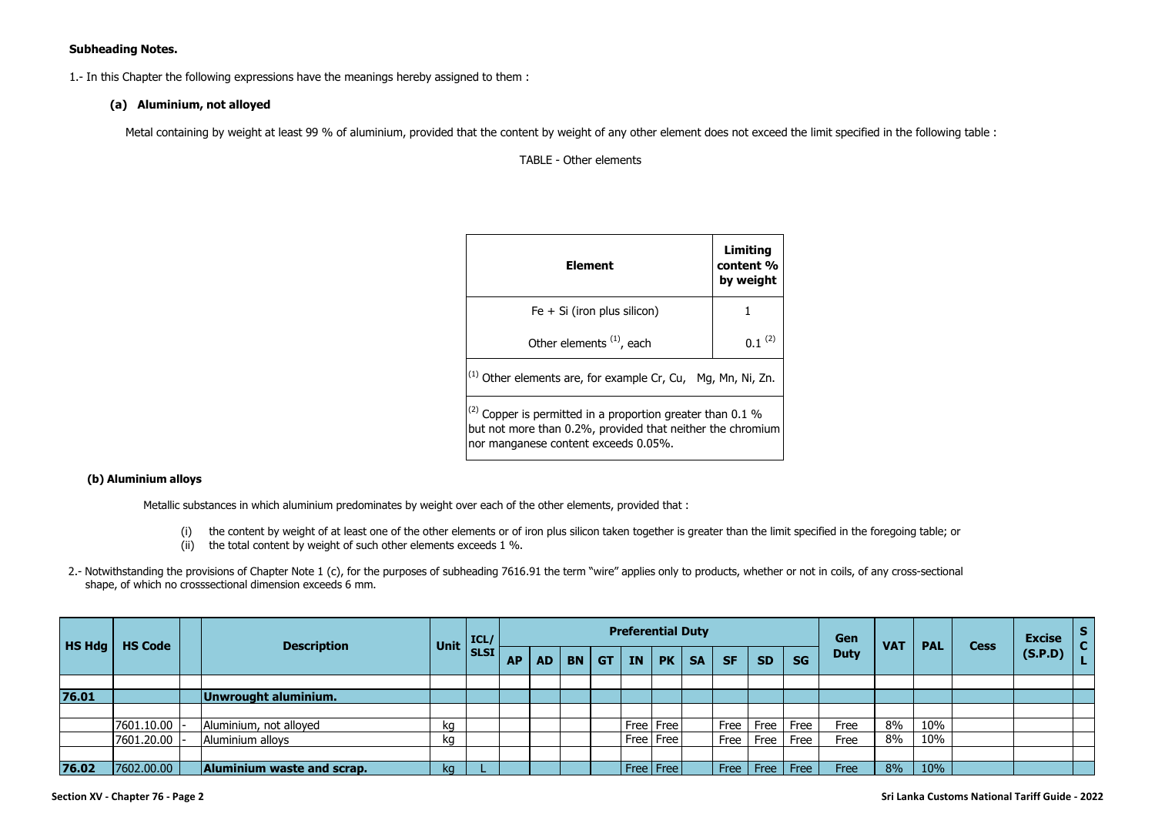# **Subheading Notes.**

1.- In this Chapter the following expressions have the meanings hereby assigned to them :

## **(a) Aluminium, not alloyed**

Metal containing by weight at least 99 % of aluminium, provided that the content by weight of any other element does not exceed the limit specified in the following table :

TABLE - Other elements

| Element                                                                                                                                                               | Limiting<br>content %<br>by weight |
|-----------------------------------------------------------------------------------------------------------------------------------------------------------------------|------------------------------------|
| $Fe + Si (iron plus silicon)$                                                                                                                                         |                                    |
| Other elements <sup>(1)</sup> , each                                                                                                                                  | (2)                                |
| $^{(1)}$ Other elements are, for example Cr, Cu, Mg, Mn, Ni, Zn.                                                                                                      |                                    |
| $^{(2)}$ Copper is permitted in a proportion greater than 0.1 %<br>but not more than 0.2%, provided that neither the chromium<br>nor manganese content exceeds 0.05%. |                                    |

#### **(b) Aluminium alloys**

Metallic substances in which aluminium predominates by weight over each of the other elements, provided that :

- (i) the content by weight of at least one of the other elements or of iron plus silicon taken together is greater than the limit specified in the foregoing table; or
- $(iii)$  the total content by weight of such other elements exceeds 1 %.
- 2.- Notwithstanding the provisions of Chapter Note 1 (c), for the purposes of subheading 7616.91 the term "wire" applies only to products, whether or not in coils, of any cross-sectional shape, of which no crosssectional dimension exceeds 6 mm.

| HS Hdg | <b>HS Code</b> | <b>Description</b>         | <b>Unit</b> | ICL/        |           |           |           |           |           | <b>Preferential Duty</b> |           |           |              |           | Gen         | <b>VAT</b> | <b>PAL</b> | <b>Cess</b> | <b>Excise</b> | <b>S</b><br> C |
|--------|----------------|----------------------------|-------------|-------------|-----------|-----------|-----------|-----------|-----------|--------------------------|-----------|-----------|--------------|-----------|-------------|------------|------------|-------------|---------------|----------------|
|        |                |                            |             | <b>SLSI</b> | <b>AP</b> | <b>AD</b> | <b>BN</b> | <b>GT</b> | <b>IN</b> | PK                       | <b>SA</b> | <b>SF</b> | <b>SD</b>    | <b>SG</b> | <b>Duty</b> |            |            |             | (S.P.D)       |                |
|        |                |                            |             |             |           |           |           |           |           |                          |           |           |              |           |             |            |            |             |               |                |
| 76.01  |                | Unwrought aluminium.       |             |             |           |           |           |           |           |                          |           |           |              |           |             |            |            |             |               |                |
|        |                |                            |             |             |           |           |           |           |           |                          |           |           |              |           |             |            |            |             |               |                |
|        | 7601.10.00     | Aluminium, not alloyed     | kg          |             |           |           |           |           |           | Free   Free              |           | Free      | Free         | Free      | Free        | 8%         | 10%        |             |               |                |
|        | 7601.20.00     | Aluminium alloys           | kq          |             |           |           |           |           |           | Free   Free              |           | Free      | Free         | Free      | Free        | 8%         | 10%        |             |               |                |
|        |                |                            |             |             |           |           |           |           |           |                          |           |           |              |           |             |            |            |             |               |                |
| 76.02  | 7602.00.00     | Aluminium waste and scrap. | kg          |             |           |           |           |           |           | Free   Free              |           | Free      | $ $ Free $ $ | Free      | Free        | 8%         | 10%        |             |               |                |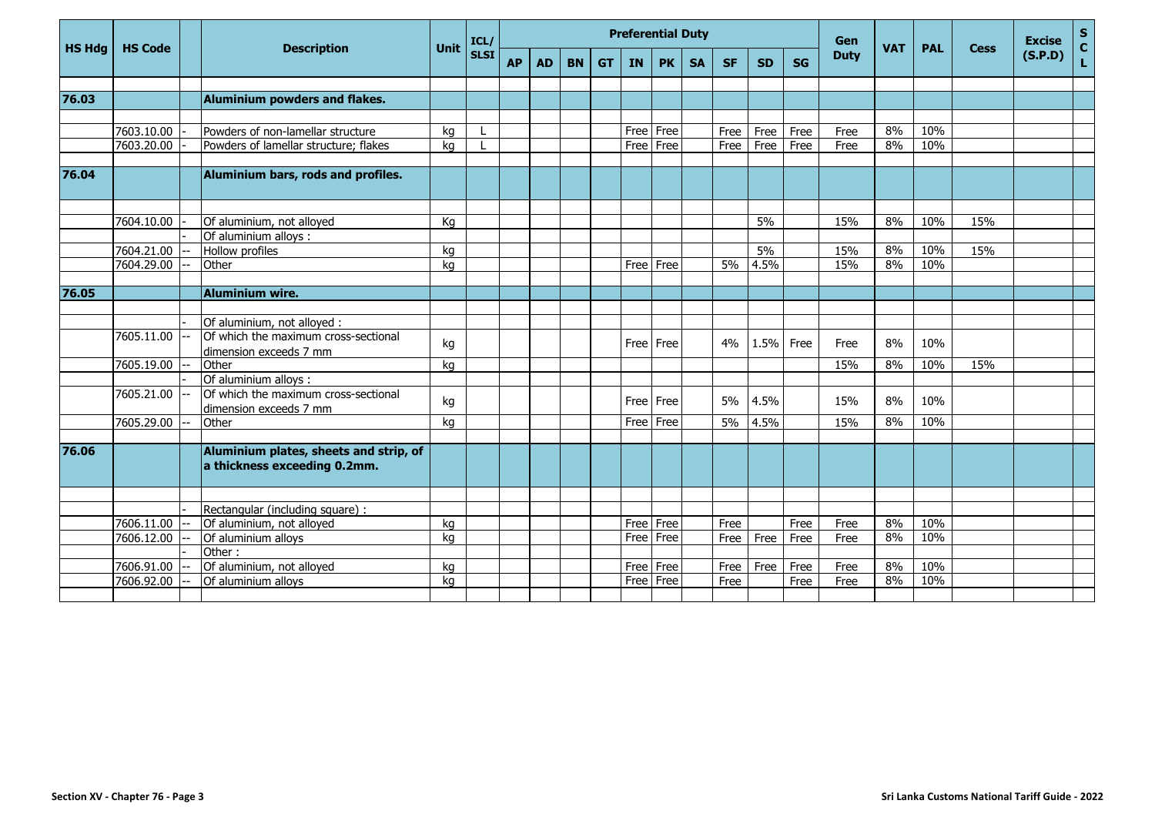|               |                |                                                                        |      | ICL/        |           |           |           |           | <b>Preferential Duty</b> |           |           |           |           |           | Gen<br><b>VAT</b><br><b>Duty</b> |    |            | <b>Excise</b> | $\mathsf S$ |                   |
|---------------|----------------|------------------------------------------------------------------------|------|-------------|-----------|-----------|-----------|-----------|--------------------------|-----------|-----------|-----------|-----------|-----------|----------------------------------|----|------------|---------------|-------------|-------------------|
| <b>HS Hdg</b> | <b>HS Code</b> | <b>Description</b>                                                     | Unit | <b>SLSI</b> | <b>AP</b> | <b>AD</b> | <b>BN</b> | <b>GT</b> | <b>IN</b>                | <b>PK</b> | <b>SA</b> | <b>SF</b> | <b>SD</b> | <b>SG</b> |                                  |    | <b>PAL</b> | <b>Cess</b>   | (S.P.D)     | $\mathbf C$<br>L. |
|               |                |                                                                        |      |             |           |           |           |           |                          |           |           |           |           |           |                                  |    |            |               |             |                   |
| 76.03         |                | Aluminium powders and flakes.                                          |      |             |           |           |           |           |                          |           |           |           |           |           |                                  |    |            |               |             |                   |
|               |                |                                                                        |      |             |           |           |           |           |                          |           |           |           |           |           |                                  |    |            |               |             |                   |
|               | 7603.10.00     | Powders of non-lamellar structure                                      | kg   |             |           |           |           |           | Free                     | Free      |           | Free      | Free      | Free      | Free                             | 8% | 10%        |               |             |                   |
|               | 7603.20.00     | Powders of lamellar structure; flakes                                  | kg   |             |           |           |           |           | Free                     | Free      |           | Free      | Free      | Free      | Free                             | 8% | 10%        |               |             |                   |
| 76.04         |                | Aluminium bars, rods and profiles.                                     |      |             |           |           |           |           |                          |           |           |           |           |           |                                  |    |            |               |             |                   |
|               |                |                                                                        |      |             |           |           |           |           |                          |           |           |           |           |           |                                  |    |            |               |             |                   |
|               | 7604.10.00     | Of aluminium, not alloyed                                              | Kg   |             |           |           |           |           |                          |           |           |           | 5%        |           | 15%                              | 8% | 10%        | 15%           |             |                   |
|               |                | Of aluminium alloys :                                                  |      |             |           |           |           |           |                          |           |           |           |           |           |                                  |    |            |               |             |                   |
|               | 7604.21.00     | Hollow profiles                                                        | kg   |             |           |           |           |           |                          |           |           |           | 5%        |           | 15%                              | 8% | 10%        | 15%           |             |                   |
|               | 7604.29.00     | Other                                                                  | ka   |             |           |           |           |           | Free Free                |           |           | 5%        | 4.5%      |           | 15%                              | 8% | 10%        |               |             |                   |
|               |                |                                                                        |      |             |           |           |           |           |                          |           |           |           |           |           |                                  |    |            |               |             |                   |
| 76.05         |                | <b>Aluminium wire.</b>                                                 |      |             |           |           |           |           |                          |           |           |           |           |           |                                  |    |            |               |             |                   |
|               |                |                                                                        |      |             |           |           |           |           |                          |           |           |           |           |           |                                  |    |            |               |             |                   |
|               |                | Of aluminium, not alloyed :                                            |      |             |           |           |           |           |                          |           |           |           |           |           |                                  |    |            |               |             |                   |
|               | 7605.11.00     | Of which the maximum cross-sectional<br>dimension exceeds 7 mm         | kg   |             |           |           |           |           | Free Free                |           |           | 4%        | 1.5%      | Free      | Free                             | 8% | 10%        |               |             |                   |
|               | 7605.19.00     | Other                                                                  | kg   |             |           |           |           |           |                          |           |           |           |           |           | 15%                              | 8% | 10%        | 15%           |             |                   |
|               |                | Of aluminium alloys :                                                  |      |             |           |           |           |           |                          |           |           |           |           |           |                                  |    |            |               |             |                   |
|               | 7605.21.00     | Of which the maximum cross-sectional                                   | kg   |             |           |           |           |           | Free Free                |           |           | 5%        | 4.5%      |           | 15%                              | 8% | 10%        |               |             |                   |
|               |                | dimension exceeds 7 mm                                                 |      |             |           |           |           |           |                          |           |           |           |           |           |                                  |    |            |               |             |                   |
|               | 7605.29.00     | Other                                                                  | kg   |             |           |           |           |           | Free Free                |           |           | 5%        | 4.5%      |           | 15%                              | 8% | 10%        |               |             |                   |
|               |                |                                                                        |      |             |           |           |           |           |                          |           |           |           |           |           |                                  |    |            |               |             |                   |
| 76.06         |                | Aluminium plates, sheets and strip, of<br>a thickness exceeding 0.2mm. |      |             |           |           |           |           |                          |           |           |           |           |           |                                  |    |            |               |             |                   |
|               |                |                                                                        |      |             |           |           |           |           |                          |           |           |           |           |           |                                  |    |            |               |             |                   |
|               |                | Rectangular (including square) :                                       |      |             |           |           |           |           |                          |           |           |           |           |           |                                  |    |            |               |             |                   |
|               | 7606.11.00     | Of aluminium, not alloyed                                              | kg   |             |           |           |           |           | Free Free                |           |           | Free      |           | Free      | Free                             | 8% | 10%        |               |             |                   |
|               | 7606.12.00     | Of aluminium alloys                                                    | ka   |             |           |           |           |           | Free                     | Free      |           | Free      | Free      | Free      | Free                             | 8% | 10%        |               |             |                   |
|               |                | Other:                                                                 |      |             |           |           |           |           |                          |           |           |           |           |           |                                  |    |            |               |             |                   |
|               | 7606.91.00     | Of aluminium, not alloyed                                              | kg   |             |           |           |           |           | Free Free                |           |           | Free      | Free      | Free      | Free                             | 8% | 10%        |               |             |                   |
|               | 7606.92.00     | Of aluminium alloys                                                    | ka   |             |           |           |           |           | Free                     | Free      |           | Free      |           | Free      | Free                             | 8% | 10%        |               |             |                   |
|               |                |                                                                        |      |             |           |           |           |           |                          |           |           |           |           |           |                                  |    |            |               |             |                   |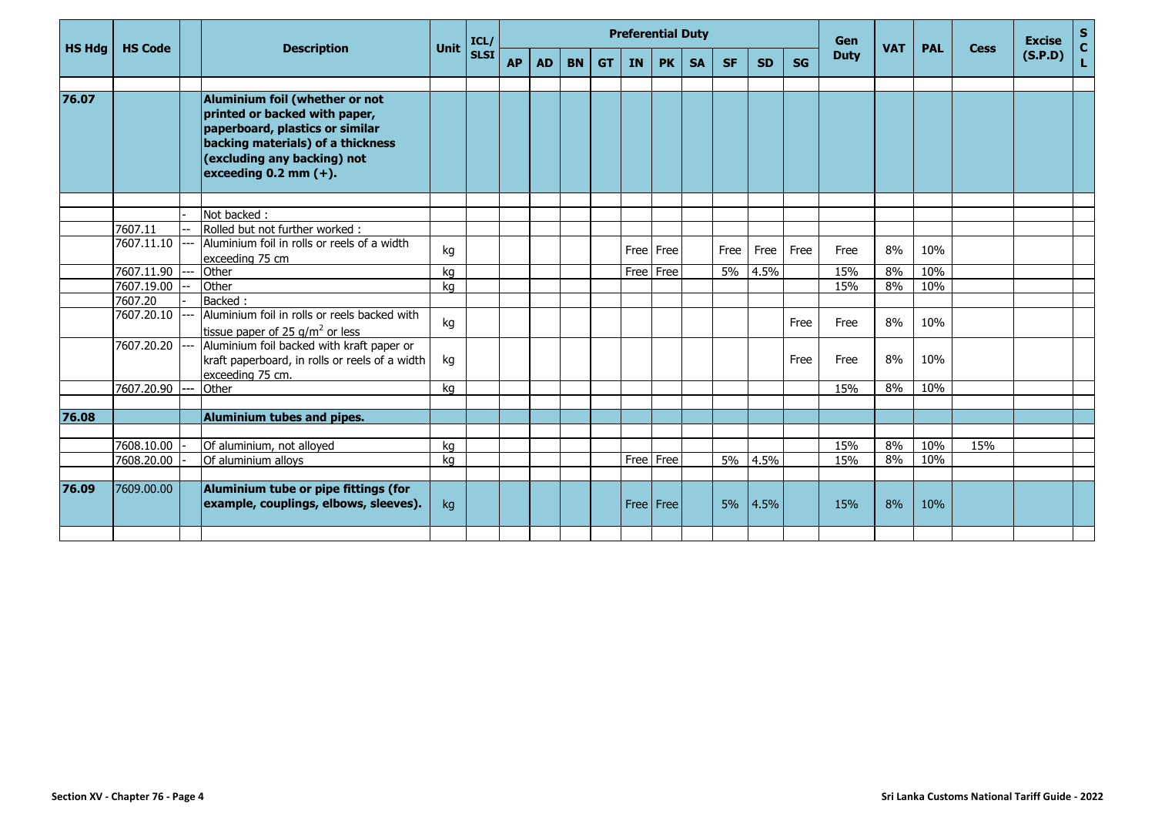|            |                                                                                   | <b>Description</b>                                                                                                                                                                                   |                                                                                                                                                                                                                       | ICL/             |           |             |           |           |    |           |                        |                                                      |           |           | Gen         |            |                        |                          | <b>Excise</b>      | $\frac{s}{c}$ |
|------------|-----------------------------------------------------------------------------------|------------------------------------------------------------------------------------------------------------------------------------------------------------------------------------------------------|-----------------------------------------------------------------------------------------------------------------------------------------------------------------------------------------------------------------------|------------------|-----------|-------------|-----------|-----------|----|-----------|------------------------|------------------------------------------------------|-----------|-----------|-------------|------------|------------------------|--------------------------|--------------------|---------------|
|            |                                                                                   |                                                                                                                                                                                                      |                                                                                                                                                                                                                       |                  | <b>AP</b> | <b>AD</b>   | <b>BN</b> | <b>GT</b> | IN | <b>PK</b> | <b>SA</b>              | <b>SF</b>                                            | <b>SD</b> | <b>SG</b> | <b>Duty</b> |            |                        |                          | (S.P.D)            | Ĺ,            |
|            |                                                                                   | Aluminium foil (whether or not<br>printed or backed with paper,<br>paperboard, plastics or similar<br>backing materials) of a thickness<br>(excluding any backing) not<br>exceeding $0.2$ mm $(+)$ . |                                                                                                                                                                                                                       |                  |           |             |           |           |    |           |                        |                                                      |           |           |             |            |                        |                          |                    |               |
|            |                                                                                   |                                                                                                                                                                                                      |                                                                                                                                                                                                                       |                  |           |             |           |           |    |           |                        |                                                      |           |           |             |            |                        |                          |                    |               |
|            |                                                                                   |                                                                                                                                                                                                      |                                                                                                                                                                                                                       |                  |           |             |           |           |    |           |                        |                                                      |           |           |             |            |                        |                          |                    |               |
| 7607.11.10 |                                                                                   | Aluminium foil in rolls or reels of a width                                                                                                                                                          | kg                                                                                                                                                                                                                    |                  |           |             |           |           |    |           |                        | Free                                                 | Free      | Free      | Free        | 8%         | 10%                    |                          |                    |               |
| 7607.11.90 |                                                                                   | Other                                                                                                                                                                                                | kg                                                                                                                                                                                                                    |                  |           |             |           |           |    |           |                        | 5%                                                   | 4.5%      |           | 15%         | 8%         | 10%                    |                          |                    |               |
| 7607.19.00 |                                                                                   | Other                                                                                                                                                                                                | kg                                                                                                                                                                                                                    |                  |           |             |           |           |    |           |                        |                                                      |           |           | 15%         | 8%         | 10%                    |                          |                    |               |
|            |                                                                                   |                                                                                                                                                                                                      |                                                                                                                                                                                                                       |                  |           |             |           |           |    |           |                        |                                                      |           |           |             |            |                        |                          |                    |               |
|            |                                                                                   |                                                                                                                                                                                                      | kg                                                                                                                                                                                                                    |                  |           |             |           |           |    |           |                        |                                                      |           | Free      | Free        | 8%         | 10%                    |                          |                    |               |
|            |                                                                                   | Aluminium foil backed with kraft paper or<br>kraft paperboard, in rolls or reels of a width<br>exceeding 75 cm.                                                                                      | kg                                                                                                                                                                                                                    |                  |           |             |           |           |    |           |                        |                                                      |           | Free      | Free        | 8%         | 10%                    |                          |                    |               |
| 7607.20.90 |                                                                                   | Other                                                                                                                                                                                                | ka                                                                                                                                                                                                                    |                  |           |             |           |           |    |           |                        |                                                      |           |           | 15%         | 8%         | 10%                    |                          |                    |               |
|            |                                                                                   |                                                                                                                                                                                                      |                                                                                                                                                                                                                       |                  |           |             |           |           |    |           |                        |                                                      |           |           |             |            |                        |                          |                    |               |
|            |                                                                                   | Aluminium tubes and pipes.                                                                                                                                                                           |                                                                                                                                                                                                                       |                  |           |             |           |           |    |           |                        |                                                      |           |           |             |            |                        |                          |                    |               |
|            |                                                                                   |                                                                                                                                                                                                      |                                                                                                                                                                                                                       |                  |           |             |           |           |    |           |                        |                                                      |           |           |             |            |                        |                          |                    |               |
|            |                                                                                   |                                                                                                                                                                                                      |                                                                                                                                                                                                                       |                  |           |             |           |           |    |           |                        |                                                      |           |           |             |            |                        |                          |                    |               |
|            |                                                                                   |                                                                                                                                                                                                      |                                                                                                                                                                                                                       |                  |           |             |           |           |    |           |                        |                                                      |           |           |             |            |                        |                          |                    |               |
| 7609.00.00 |                                                                                   | Aluminium tube or pipe fittings (for<br>example, couplings, elbows, sleeves).                                                                                                                        | kg                                                                                                                                                                                                                    |                  |           |             |           |           |    |           |                        | 5%                                                   | 4.5%      |           | 15%         | 8%         | 10%                    |                          |                    |               |
|            | <b>HS Hdg</b><br><b>HS Code</b><br>7607.11<br>7607.20<br>7608.10.00<br>7608.20.00 | 7607.20.10<br>7607.20.20                                                                                                                                                                             | Not backed:<br>Rolled but not further worked:<br>exceeding 75 cm<br>Backed:<br>Aluminium foil in rolls or reels backed with<br>tissue paper of 25 $q/m^2$ or less<br>Of aluminium, not alloyed<br>Of aluminium alloys | Unit<br>kg<br>kg |           | <b>SLSI</b> |           |           |    |           | Free Free<br>Free Free | <b>Preferential Duty</b><br>Free Free<br>Free   Free | 5%        | 4.5%      |             | 15%<br>15% | <b>VAT</b><br>8%<br>8% | <b>PAL</b><br>10%<br>10% | <b>Cess</b><br>15% |               |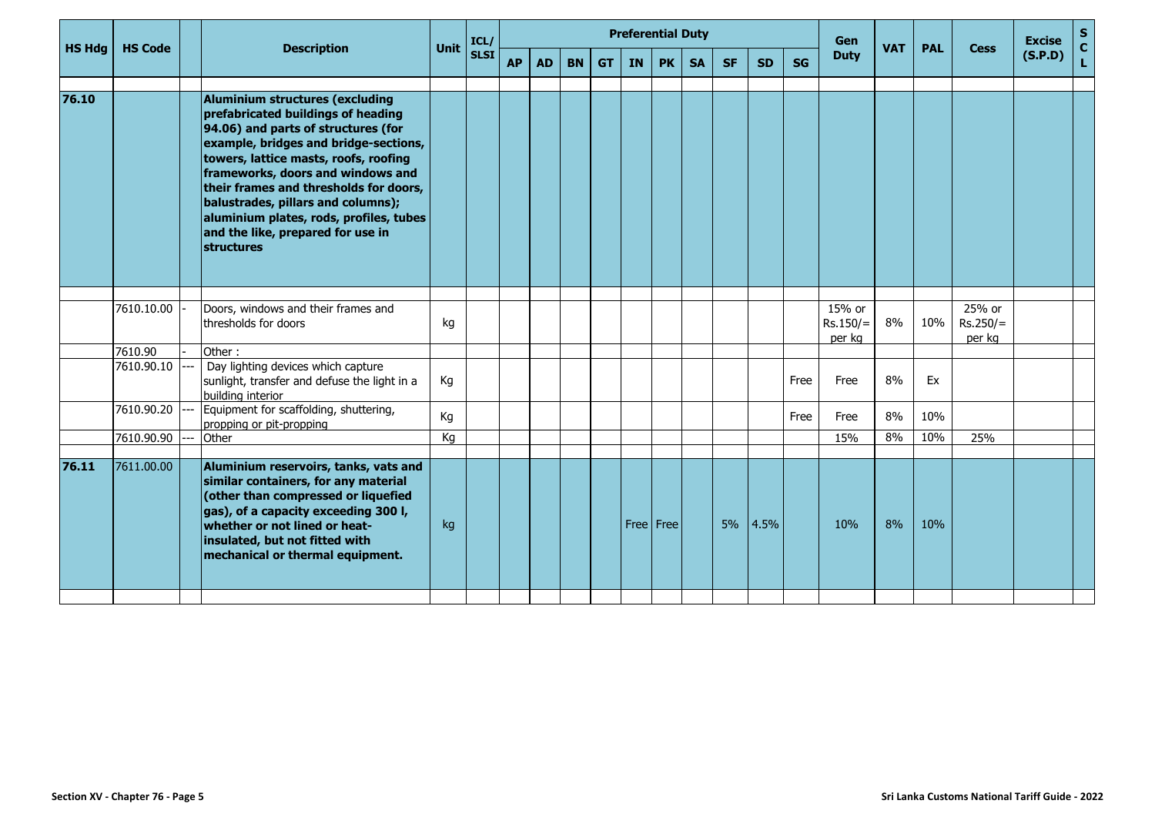|               |                |                                                                                                                                                                                                                                                                                                                                                                                                                                 |             |              |           |           |           |           |    | <b>Preferential Duty</b> |           |           |           |           | <b>Gen</b><br><b>VAT</b><br><b>Duty</b> | <b>PAL</b><br><b>Cess</b> |     | <b>Excise</b>                  | $\frac{{\sf s}}{{\sf c}}$ |    |
|---------------|----------------|---------------------------------------------------------------------------------------------------------------------------------------------------------------------------------------------------------------------------------------------------------------------------------------------------------------------------------------------------------------------------------------------------------------------------------|-------------|--------------|-----------|-----------|-----------|-----------|----|--------------------------|-----------|-----------|-----------|-----------|-----------------------------------------|---------------------------|-----|--------------------------------|---------------------------|----|
| <b>HS Hdg</b> | <b>HS Code</b> | <b>Description</b>                                                                                                                                                                                                                                                                                                                                                                                                              | <b>Unit</b> | ICL/<br>SLSI | <b>AP</b> | <b>AD</b> | <b>BN</b> | <b>GT</b> | IN | <b>PK</b>                | <b>SA</b> | <b>SF</b> | <b>SD</b> | <b>SG</b> |                                         |                           |     |                                | (S.P.D)                   | L. |
|               |                |                                                                                                                                                                                                                                                                                                                                                                                                                                 |             |              |           |           |           |           |    |                          |           |           |           |           |                                         |                           |     |                                |                           |    |
| 76.10         |                | <b>Aluminium structures (excluding</b><br>prefabricated buildings of heading<br>94.06) and parts of structures (for<br>example, bridges and bridge-sections,<br>towers, lattice masts, roofs, roofing<br>frameworks, doors and windows and<br>their frames and thresholds for doors,<br>balustrades, pillars and columns);<br>aluminium plates, rods, profiles, tubes<br>and the like, prepared for use in<br><b>structures</b> |             |              |           |           |           |           |    |                          |           |           |           |           |                                         |                           |     |                                |                           |    |
|               |                |                                                                                                                                                                                                                                                                                                                                                                                                                                 |             |              |           |           |           |           |    |                          |           |           |           |           |                                         |                           |     |                                |                           |    |
|               | 7610.10.00     | Doors, windows and their frames and<br>thresholds for doors                                                                                                                                                                                                                                                                                                                                                                     | kg          |              |           |           |           |           |    |                          |           |           |           |           | 15% or<br>$Rs.150/=$<br>per kg          | 8%                        | 10% | 25% or<br>$Rs.250/=$<br>per kg |                           |    |
|               | 7610.90        | Other:                                                                                                                                                                                                                                                                                                                                                                                                                          |             |              |           |           |           |           |    |                          |           |           |           |           |                                         |                           |     |                                |                           |    |
|               | 7610.90.10     | Day lighting devices which capture<br>sunlight, transfer and defuse the light in a<br>building interior                                                                                                                                                                                                                                                                                                                         | Кg          |              |           |           |           |           |    |                          |           |           |           | Free      | Free                                    | 8%                        | Ex  |                                |                           |    |
|               | 7610.90.20     | Equipment for scaffolding, shuttering,<br>propping or pit-propping                                                                                                                                                                                                                                                                                                                                                              | Kg          |              |           |           |           |           |    |                          |           |           |           | Free      | Free                                    | 8%                        | 10% |                                |                           |    |
|               | 7610.90.90     | Other                                                                                                                                                                                                                                                                                                                                                                                                                           | Kg          |              |           |           |           |           |    |                          |           |           |           |           | 15%                                     | 8%                        | 10% | 25%                            |                           |    |
| 76.11         | 7611.00.00     | Aluminium reservoirs, tanks, vats and<br>similar containers, for any material<br>(other than compressed or liquefied<br>gas), of a capacity exceeding 300 l,<br>whether or not lined or heat-<br>insulated, but not fitted with<br>mechanical or thermal equipment.                                                                                                                                                             | kg          |              |           |           |           |           |    | Free   Free              |           | 5%        | 4.5%      |           | 10%                                     | 8%                        | 10% |                                |                           |    |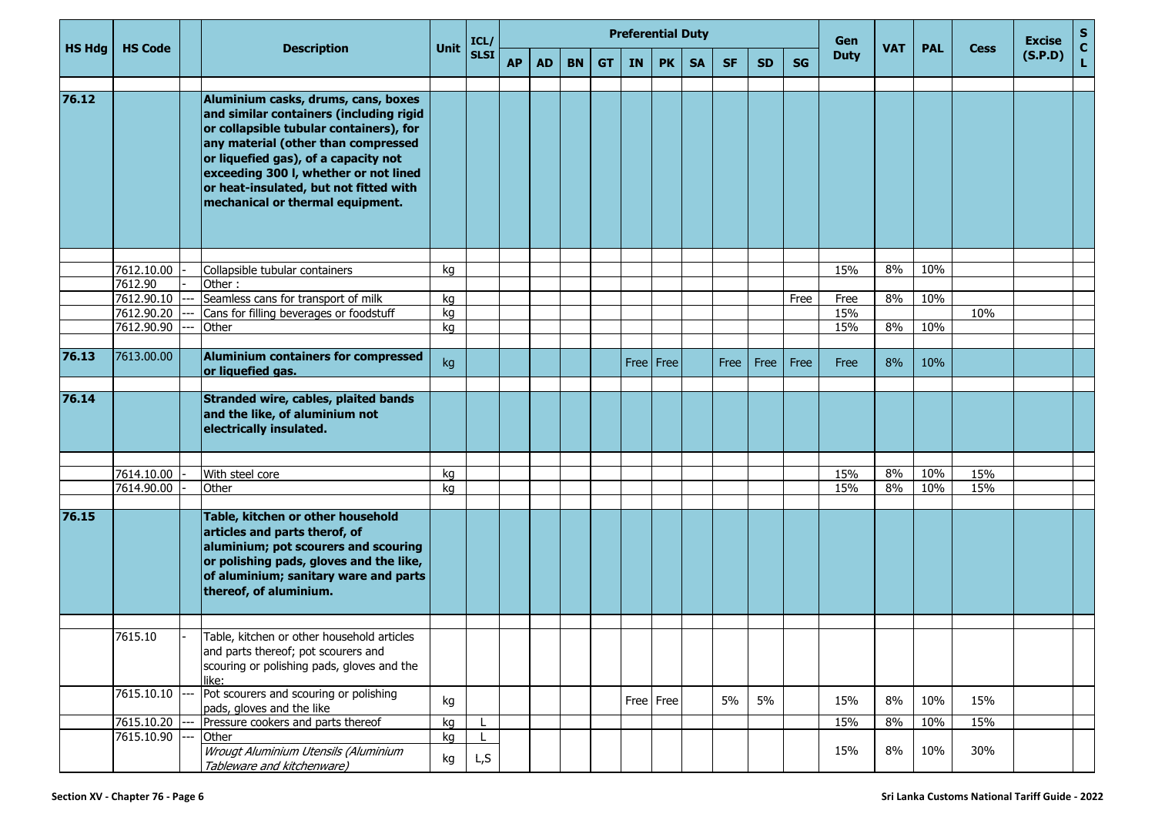|               |                       |                                                                                                                                                                                                                                                                                                                                 |          | ICL/        |           |           |           | <b>Preferential Duty</b> |           |           |           |           |           |           | Gen         |            |            |             | <b>Excise</b> | $\frac{S}{C}$ |
|---------------|-----------------------|---------------------------------------------------------------------------------------------------------------------------------------------------------------------------------------------------------------------------------------------------------------------------------------------------------------------------------|----------|-------------|-----------|-----------|-----------|--------------------------|-----------|-----------|-----------|-----------|-----------|-----------|-------------|------------|------------|-------------|---------------|---------------|
| <b>HS Hdg</b> | <b>HS Code</b>        | <b>Description</b>                                                                                                                                                                                                                                                                                                              | Unit     | <b>SLSI</b> | <b>AP</b> | <b>AD</b> | <b>BN</b> | <b>GT</b>                | <b>IN</b> | <b>PK</b> | <b>SA</b> | <b>SF</b> | <b>SD</b> | <b>SG</b> | <b>Duty</b> | <b>VAT</b> | <b>PAL</b> | <b>Cess</b> | (S.P.D)       | Ĺ.            |
| 76.12         |                       | Aluminium casks, drums, cans, boxes<br>and similar containers (including rigid<br>or collapsible tubular containers), for<br>any material (other than compressed<br>or liquefied gas), of a capacity not<br>exceeding 300 I, whether or not lined<br>or heat-insulated, but not fitted with<br>mechanical or thermal equipment. |          |             |           |           |           |                          |           |           |           |           |           |           |             |            |            |             |               |               |
|               |                       |                                                                                                                                                                                                                                                                                                                                 |          |             |           |           |           |                          |           |           |           |           |           |           |             |            |            |             |               |               |
|               | 7612.10.00            | Collapsible tubular containers                                                                                                                                                                                                                                                                                                  | kg       |             |           |           |           |                          |           |           |           |           |           |           | 15%         | 8%         | 10%        |             |               |               |
|               | 7612.90<br>7612.90.10 | Other:                                                                                                                                                                                                                                                                                                                          |          |             |           |           |           |                          |           |           |           |           |           |           |             | 8%         | 10%        |             |               |               |
|               | 7612.90.20            | Seamless cans for transport of milk<br>Cans for filling beverages or foodstuff                                                                                                                                                                                                                                                  | kg<br>kg |             |           |           |           |                          |           |           |           |           |           | Free      | Free<br>15% |            |            | 10%         |               |               |
|               | 7612.90.90            | Other                                                                                                                                                                                                                                                                                                                           | kg       |             |           |           |           |                          |           |           |           |           |           |           | 15%         | 8%         | 10%        |             |               |               |
|               |                       |                                                                                                                                                                                                                                                                                                                                 |          |             |           |           |           |                          |           |           |           |           |           |           |             |            |            |             |               |               |
| 76.13         | 7613.00.00            | Aluminium containers for compressed<br>or liquefied gas.                                                                                                                                                                                                                                                                        | kg       |             |           |           |           |                          |           | Free Free |           | Free      | Free      | Free      | Free        | 8%         | 10%        |             |               |               |
| 76.14         | 7614.10.00            | Stranded wire, cables, plaited bands<br>and the like, of aluminium not<br>electrically insulated.<br>With steel core                                                                                                                                                                                                            | kg       |             |           |           |           |                          |           |           |           |           |           |           | 15%         | 8%         | 10%        | 15%         |               |               |
|               | 7614.90.00            | Other                                                                                                                                                                                                                                                                                                                           | kg       |             |           |           |           |                          |           |           |           |           |           |           | 15%         | 8%         | 10%        | 15%         |               |               |
|               |                       |                                                                                                                                                                                                                                                                                                                                 |          |             |           |           |           |                          |           |           |           |           |           |           |             |            |            |             |               |               |
| 76.15         |                       | Table, kitchen or other household<br>articles and parts therof, of<br>aluminium; pot scourers and scouring<br>or polishing pads, gloves and the like,<br>of aluminium; sanitary ware and parts<br>thereof, of aluminium.                                                                                                        |          |             |           |           |           |                          |           |           |           |           |           |           |             |            |            |             |               |               |
|               | 7615.10               | Table, kitchen or other household articles                                                                                                                                                                                                                                                                                      |          |             |           |           |           |                          |           |           |           |           |           |           |             |            |            |             |               |               |
|               |                       | and parts thereof; pot scourers and<br>scouring or polishing pads, gloves and the<br>like:                                                                                                                                                                                                                                      |          |             |           |           |           |                          |           |           |           |           |           |           |             |            |            |             |               |               |
|               | 7615.10.10            | Pot scourers and scouring or polishing<br>pads, gloves and the like                                                                                                                                                                                                                                                             | kg       |             |           |           |           |                          |           | Free Free |           | 5%        | 5%        |           | 15%         | 8%         | 10%        | 15%         |               |               |
|               | 7615.10.20            | Pressure cookers and parts thereof                                                                                                                                                                                                                                                                                              | kg       |             |           |           |           |                          |           |           |           |           |           |           | 15%         | 8%         | 10%        | 15%         |               |               |
|               | 7615.10.90            | Other                                                                                                                                                                                                                                                                                                                           | kg       |             |           |           |           |                          |           |           |           |           |           |           |             |            |            |             |               |               |
|               |                       | Wrougt Aluminium Utensils (Aluminium<br>Tableware and kitchenware)                                                                                                                                                                                                                                                              | kg       | L, S        |           |           |           |                          |           |           |           |           |           |           | 15%         | $8\%$      | 10%        | 30%         |               |               |